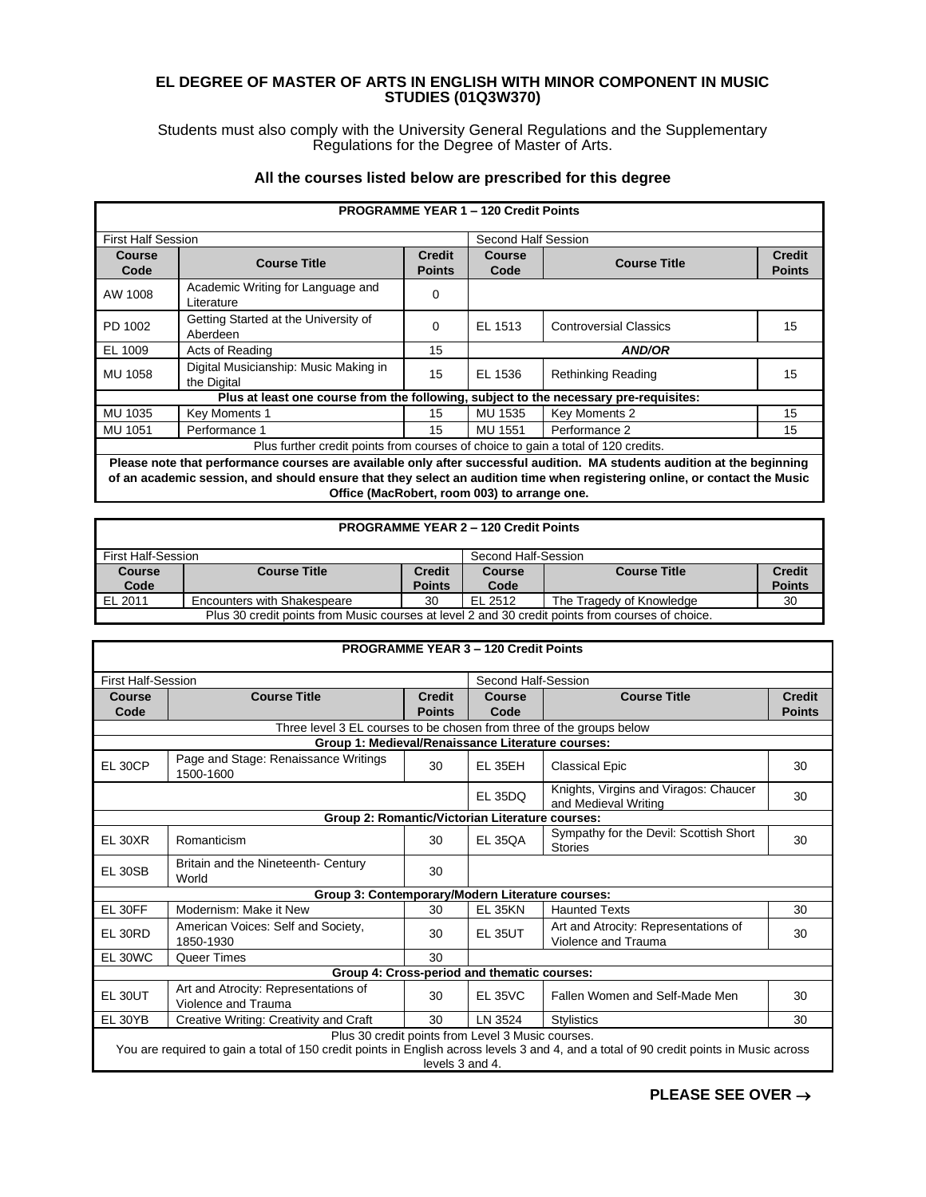## **EL DEGREE OF MASTER OF ARTS IN ENGLISH WITH MINOR COMPONENT IN MUSIC STUDIES (01Q3W370)**

Students must also comply with the University General Regulations and the Supplementary Regulations for the Degree of Master of Arts.

## **All the courses listed below are prescribed for this degree**

| <b>PROGRAMME YEAR 1 - 120 Credit Points</b>                                                                                                                                                                                                           |                                                                                       |                                |                       |                               |                                |  |  |
|-------------------------------------------------------------------------------------------------------------------------------------------------------------------------------------------------------------------------------------------------------|---------------------------------------------------------------------------------------|--------------------------------|-----------------------|-------------------------------|--------------------------------|--|--|
| <b>First Half Session</b>                                                                                                                                                                                                                             |                                                                                       |                                | Second Half Session   |                               |                                |  |  |
| <b>Course</b><br>Code                                                                                                                                                                                                                                 | <b>Course Title</b>                                                                   | <b>Credit</b><br><b>Points</b> | <b>Course</b><br>Code | <b>Course Title</b>           | <b>Credit</b><br><b>Points</b> |  |  |
| AW 1008                                                                                                                                                                                                                                               | Academic Writing for Language and<br>Literature                                       | 0                              |                       |                               |                                |  |  |
| PD 1002                                                                                                                                                                                                                                               | Getting Started at the University of<br>Aberdeen                                      | $\Omega$                       | EL 1513               | <b>Controversial Classics</b> | 15                             |  |  |
| EL 1009                                                                                                                                                                                                                                               | Acts of Reading                                                                       | 15                             |                       | <b>AND/OR</b>                 |                                |  |  |
| MU 1058                                                                                                                                                                                                                                               | Digital Musicianship: Music Making in<br>the Digital                                  | 15                             | EL 1536               | Rethinking Reading            | 15                             |  |  |
|                                                                                                                                                                                                                                                       | Plus at least one course from the following, subject to the necessary pre-requisites: |                                |                       |                               |                                |  |  |
| MU 1035                                                                                                                                                                                                                                               | Key Moments 1                                                                         | 15                             | MU 1535               | Key Moments 2                 | 15                             |  |  |
| <b>MU 1051</b>                                                                                                                                                                                                                                        | Performance 1                                                                         | 15                             | MU 1551               | Performance 2                 | 15                             |  |  |
| Plus further credit points from courses of choice to gain a total of 120 credits.                                                                                                                                                                     |                                                                                       |                                |                       |                               |                                |  |  |
| Please note that performance courses are available only after successful audition. MA students audition at the beginning<br>of an academic session, and should ensure that they select an audition time when registering online, or contact the Music |                                                                                       |                                |                       |                               |                                |  |  |

**Office (MacRobert, room 003) to arrange one.**

## **PROGRAMME YEAR 2 – 120 Credit Points**

| First Half-Session                                                                               |                             |                                | Second Half-Session |                          |                                |
|--------------------------------------------------------------------------------------------------|-----------------------------|--------------------------------|---------------------|--------------------------|--------------------------------|
| Course<br>Code                                                                                   | <b>Course Title</b>         | <b>Credit</b><br><b>Points</b> | Course<br>Code      | <b>Course Title</b>      | <b>Credit</b><br><b>Points</b> |
| EL 2011                                                                                          | Encounters with Shakespeare | 30                             | EL 2512             | The Tragedy of Knowledge | 30                             |
| Plus 30 credit points from Music courses at level 2 and 30 credit points from courses of choice. |                             |                                |                     |                          |                                |

| <b>PROGRAMME YEAR 3 - 120 Credit Points</b>                                                                                                                                                                     |                                                                      |                                |                     |                                                               |                                |  |  |
|-----------------------------------------------------------------------------------------------------------------------------------------------------------------------------------------------------------------|----------------------------------------------------------------------|--------------------------------|---------------------|---------------------------------------------------------------|--------------------------------|--|--|
| <b>First Half-Session</b>                                                                                                                                                                                       |                                                                      |                                | Second Half-Session |                                                               |                                |  |  |
| Course<br>Code                                                                                                                                                                                                  | <b>Course Title</b>                                                  | <b>Credit</b><br><b>Points</b> | Course<br>Code      | <b>Course Title</b>                                           | <b>Credit</b><br><b>Points</b> |  |  |
|                                                                                                                                                                                                                 | Three level 3 EL courses to be chosen from three of the groups below |                                |                     |                                                               |                                |  |  |
|                                                                                                                                                                                                                 | Group 1: Medieval/Renaissance Literature courses:                    |                                |                     |                                                               |                                |  |  |
| <b>EL 30CP</b>                                                                                                                                                                                                  | Page and Stage: Renaissance Writings<br>1500-1600                    | 30                             | <b>EL 35EH</b>      | <b>Classical Epic</b>                                         | 30                             |  |  |
|                                                                                                                                                                                                                 |                                                                      |                                | <b>EL 35DQ</b>      | Knights, Virgins and Viragos: Chaucer<br>and Medieval Writing | 30                             |  |  |
|                                                                                                                                                                                                                 | Group 2: Romantic/Victorian Literature courses:                      |                                |                     |                                                               |                                |  |  |
| EL 30XR                                                                                                                                                                                                         | Romanticism                                                          | 30                             | <b>EL 35QA</b>      | Sympathy for the Devil: Scottish Short<br><b>Stories</b>      | 30                             |  |  |
| EL 30SB                                                                                                                                                                                                         | Britain and the Nineteenth- Century<br>World                         | 30                             |                     |                                                               |                                |  |  |
|                                                                                                                                                                                                                 | Group 3: Contemporary/Modern Literature courses:                     |                                |                     |                                                               |                                |  |  |
| EL 30FF                                                                                                                                                                                                         | Modernism: Make it New                                               | 30                             | <b>EL 35KN</b>      | <b>Haunted Texts</b>                                          | 30                             |  |  |
| EL 30RD                                                                                                                                                                                                         | American Voices: Self and Society,<br>1850-1930                      | 30                             | <b>EL 35UT</b>      | Art and Atrocity: Representations of<br>Violence and Trauma   | 30                             |  |  |
| EL 30WC                                                                                                                                                                                                         | Queer Times                                                          | 30                             |                     |                                                               |                                |  |  |
|                                                                                                                                                                                                                 | Group 4: Cross-period and thematic courses:                          |                                |                     |                                                               |                                |  |  |
| EL 30UT                                                                                                                                                                                                         | Art and Atrocity: Representations of<br>Violence and Trauma          | 30                             | <b>EL 35VC</b>      | Fallen Women and Self-Made Men                                | 30                             |  |  |
| EL 30YB                                                                                                                                                                                                         | Creative Writing: Creativity and Craft                               | 30                             | LN 3524             | <b>Stylistics</b>                                             | 30                             |  |  |
| Plus 30 credit points from Level 3 Music courses.<br>You are required to gain a total of 150 credit points in English across levels 3 and 4, and a total of 90 credit points in Music across<br>levels 3 and 4. |                                                                      |                                |                     |                                                               |                                |  |  |

**PLEASE SEE OVER** →